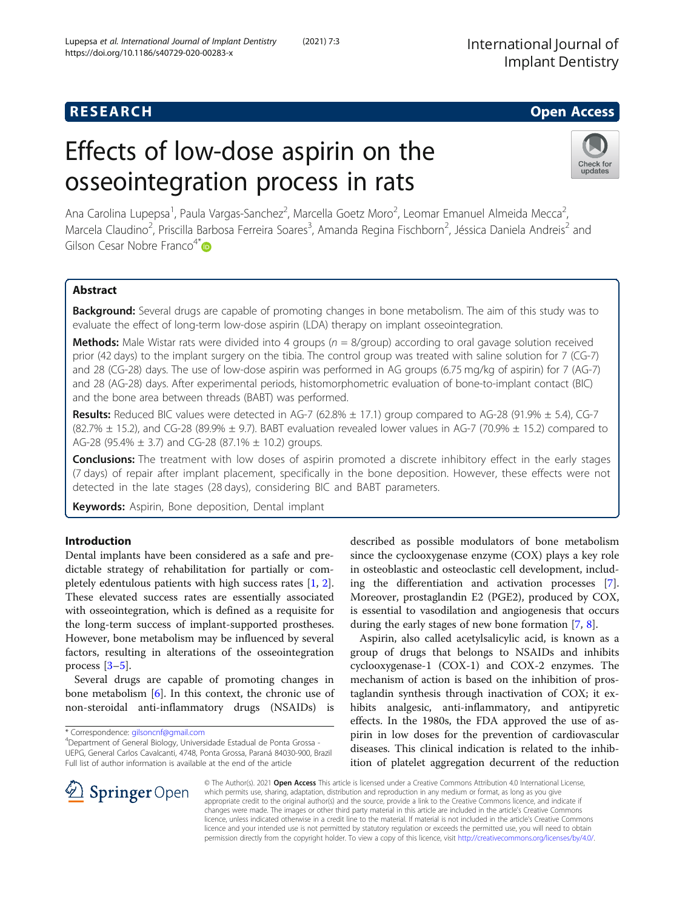## **RESEARCH CHE Open Access**

# Effects of low-dose aspirin on the osseointegration process in rats



Ana Carolina Lupepsa<sup>1</sup>, Paula Vargas-Sanchez<sup>2</sup>, Marcella Goetz Moro<sup>2</sup>, Leomar Emanuel Almeida Mecca<sup>2</sup> .<br>, Marcela Claudino<sup>2</sup>, Priscilla Barbosa Ferreira Soares<sup>3</sup>, Amanda Regina Fischborn<sup>2</sup>, Jéssica Daniela Andreis<sup>2</sup> and Gilson Cesar Nobre Franco<sup>4[\\*](http://orcid.org/0000-0001-7082-7837)</sup>

## Abstract

**Background:** Several drugs are capable of promoting changes in bone metabolism. The aim of this study was to evaluate the effect of long-term low-dose aspirin (LDA) therapy on implant osseointegration.

**Methods:** Male Wistar rats were divided into 4 groups ( $n = 8$ /group) according to oral gavage solution received prior (42 days) to the implant surgery on the tibia. The control group was treated with saline solution for 7 (CG-7) and 28 (CG-28) days. The use of low-dose aspirin was performed in AG groups (6.75 mg/kg of aspirin) for 7 (AG-7) and 28 (AG-28) days. After experimental periods, histomorphometric evaluation of bone-to-implant contact (BIC) and the bone area between threads (BABT) was performed.

**Results:** Reduced BIC values were detected in AG-7 (62.8%  $\pm$  17.1) group compared to AG-28 (91.9%  $\pm$  5.4), CG-7  $(82.7\% \pm 15.2)$ , and CG-28  $(89.9\% \pm 9.7)$ . BABT evaluation revealed lower values in AG-7 (70.9%  $\pm$  15.2) compared to AG-28 (95.4%  $\pm$  3.7) and CG-28 (87.1%  $\pm$  10.2) groups.

**Conclusions:** The treatment with low doses of aspirin promoted a discrete inhibitory effect in the early stages (7 days) of repair after implant placement, specifically in the bone deposition. However, these effects were not detected in the late stages (28 days), considering BIC and BABT parameters.

Keywords: Aspirin, Bone deposition, Dental implant

## Introduction

Dental implants have been considered as a safe and predictable strategy of rehabilitation for partially or completely edentulous patients with high success rates [\[1](#page-4-0), [2](#page-4-0)]. These elevated success rates are essentially associated with osseointegration, which is defined as a requisite for the long-term success of implant-supported prostheses. However, bone metabolism may be influenced by several factors, resulting in alterations of the osseointegration process  $[3-5]$  $[3-5]$  $[3-5]$ .

Several drugs are capable of promoting changes in bone metabolism [\[6](#page-4-0)]. In this context, the chronic use of non-steroidal anti-inflammatory drugs (NSAIDs) is

\* Correspondence: [gilsoncnf@gmail.com](mailto:gilsoncnf@gmail.com) <sup>4</sup>

Department of General Biology, Universidade Estadual de Ponta Grossa - UEPG, General Carlos Cavalcanti, 4748, Ponta Grossa, Paraná 84030-900, Brazil Full list of author information is available at the end of the article

described as possible modulators of bone metabolism since the cyclooxygenase enzyme (COX) plays a key role in osteoblastic and osteoclastic cell development, including the differentiation and activation processes [\[7](#page-4-0)]. Moreover, prostaglandin E2 (PGE2), produced by COX, is essential to vasodilation and angiogenesis that occurs during the early stages of new bone formation [\[7,](#page-4-0) [8\]](#page-4-0).

Aspirin, also called acetylsalicylic acid, is known as a group of drugs that belongs to NSAIDs and inhibits cyclooxygenase-1 (COX-1) and COX-2 enzymes. The mechanism of action is based on the inhibition of prostaglandin synthesis through inactivation of COX; it exhibits analgesic, anti-inflammatory, and antipyretic effects. In the 1980s, the FDA approved the use of aspirin in low doses for the prevention of cardiovascular diseases. This clinical indication is related to the inhibition of platelet aggregation decurrent of the reduction



© The Author(s). 2021 Open Access This article is licensed under a Creative Commons Attribution 4.0 International License, which permits use, sharing, adaptation, distribution and reproduction in any medium or format, as long as you give appropriate credit to the original author(s) and the source, provide a link to the Creative Commons licence, and indicate if changes were made. The images or other third party material in this article are included in the article's Creative Commons licence, unless indicated otherwise in a credit line to the material. If material is not included in the article's Creative Commons licence and your intended use is not permitted by statutory regulation or exceeds the permitted use, you will need to obtain permission directly from the copyright holder. To view a copy of this licence, visit <http://creativecommons.org/licenses/by/4.0/>.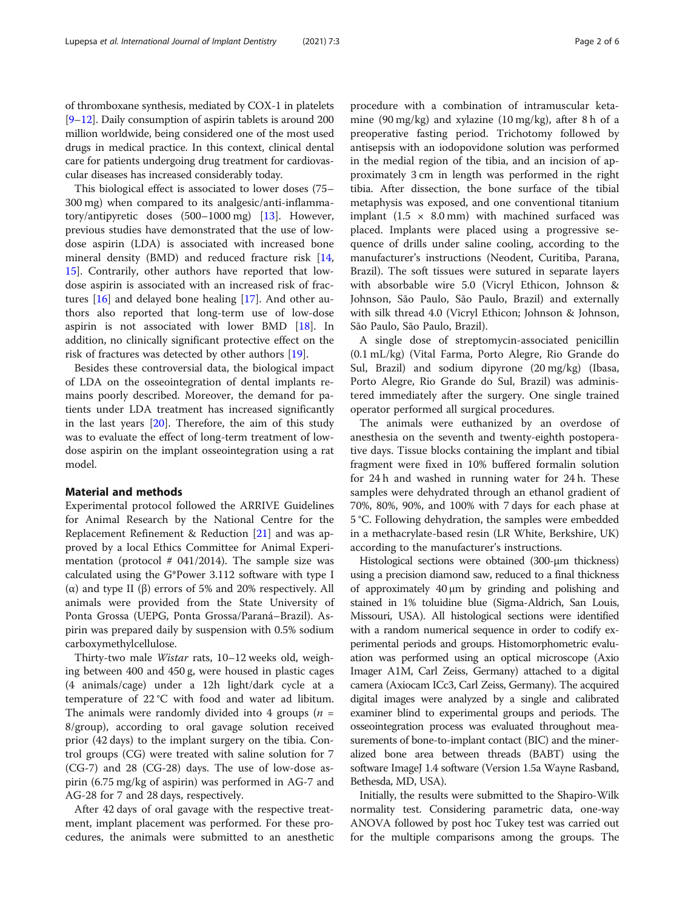of thromboxane synthesis, mediated by COX-1 in platelets [[9](#page-4-0)–[12](#page-5-0)]. Daily consumption of aspirin tablets is around 200 million worldwide, being considered one of the most used drugs in medical practice. In this context, clinical dental care for patients undergoing drug treatment for cardiovascular diseases has increased considerably today.

This biological effect is associated to lower doses (75– 300 mg) when compared to its analgesic/anti-inflammatory/antipyretic doses (500–1000 mg) [\[13](#page-5-0)]. However, previous studies have demonstrated that the use of lowdose aspirin (LDA) is associated with increased bone mineral density (BMD) and reduced fracture risk [[14](#page-5-0), [15\]](#page-5-0). Contrarily, other authors have reported that lowdose aspirin is associated with an increased risk of fractures [[16\]](#page-5-0) and delayed bone healing [\[17](#page-5-0)]. And other authors also reported that long-term use of low-dose aspirin is not associated with lower BMD  $[18]$  $[18]$ . In addition, no clinically significant protective effect on the risk of fractures was detected by other authors [\[19](#page-5-0)].

Besides these controversial data, the biological impact of LDA on the osseointegration of dental implants remains poorly described. Moreover, the demand for patients under LDA treatment has increased significantly in the last years [\[20](#page-5-0)]. Therefore, the aim of this study was to evaluate the effect of long-term treatment of lowdose aspirin on the implant osseointegration using a rat model.

### Material and methods

Experimental protocol followed the ARRIVE Guidelines for Animal Research by the National Centre for the Replacement Refinement & Reduction [\[21\]](#page-5-0) and was approved by a local Ethics Committee for Animal Experimentation (protocol  $# 041/2014$ ). The sample size was calculated using the G\*Power 3.112 software with type I (α) and type II (β) errors of 5% and 20% respectively. All animals were provided from the State University of Ponta Grossa (UEPG, Ponta Grossa/Paraná–Brazil). Aspirin was prepared daily by suspension with 0.5% sodium carboxymethylcellulose.

Thirty-two male Wistar rats, 10–12 weeks old, weighing between 400 and 450 g, were housed in plastic cages (4 animals/cage) under a 12h light/dark cycle at a temperature of 22 °C with food and water ad libitum. The animals were randomly divided into 4 groups ( $n =$ 8/group), according to oral gavage solution received prior (42 days) to the implant surgery on the tibia. Control groups (CG) were treated with saline solution for 7 (CG-7) and 28 (CG-28) days. The use of low-dose aspirin (6.75 mg/kg of aspirin) was performed in AG-7 and AG-28 for 7 and 28 days, respectively.

After 42 days of oral gavage with the respective treatment, implant placement was performed. For these procedures, the animals were submitted to an anesthetic

procedure with a combination of intramuscular ketamine (90 mg/kg) and xylazine (10 mg/kg), after 8 h of a preoperative fasting period. Trichotomy followed by antisepsis with an iodopovidone solution was performed in the medial region of the tibia, and an incision of approximately 3 cm in length was performed in the right tibia. After dissection, the bone surface of the tibial metaphysis was exposed, and one conventional titanium implant (1.5  $\times$  8.0 mm) with machined surfaced was placed. Implants were placed using a progressive sequence of drills under saline cooling, according to the manufacturer's instructions (Neodent, Curitiba, Parana, Brazil). The soft tissues were sutured in separate layers with absorbable wire 5.0 (Vicryl Ethicon, Johnson & Johnson, São Paulo, São Paulo, Brazil) and externally with silk thread 4.0 (Vicryl Ethicon; Johnson & Johnson, São Paulo, São Paulo, Brazil).

A single dose of streptomycin-associated penicillin (0.1 mL/kg) (Vital Farma, Porto Alegre, Rio Grande do Sul, Brazil) and sodium dipyrone (20 mg/kg) (Ibasa, Porto Alegre, Rio Grande do Sul, Brazil) was administered immediately after the surgery. One single trained operator performed all surgical procedures.

The animals were euthanized by an overdose of anesthesia on the seventh and twenty-eighth postoperative days. Tissue blocks containing the implant and tibial fragment were fixed in 10% buffered formalin solution for 24 h and washed in running water for 24 h. These samples were dehydrated through an ethanol gradient of 70%, 80%, 90%, and 100% with 7 days for each phase at 5 °C. Following dehydration, the samples were embedded in a methacrylate-based resin (LR White, Berkshire, UK) according to the manufacturer's instructions.

Histological sections were obtained (300-μm thickness) using a precision diamond saw, reduced to a final thickness of approximately 40 μm by grinding and polishing and stained in 1% toluidine blue (Sigma-Aldrich, San Louis, Missouri, USA). All histological sections were identified with a random numerical sequence in order to codify experimental periods and groups. Histomorphometric evaluation was performed using an optical microscope (Axio Imager A1M, Carl Zeiss, Germany) attached to a digital camera (Axiocam ICc3, Carl Zeiss, Germany). The acquired digital images were analyzed by a single and calibrated examiner blind to experimental groups and periods. The osseointegration process was evaluated throughout measurements of bone-to-implant contact (BIC) and the mineralized bone area between threads (BABT) using the software ImageJ 1.4 software (Version 1.5a Wayne Rasband, Bethesda, MD, USA).

Initially, the results were submitted to the Shapiro-Wilk normality test. Considering parametric data, one-way ANOVA followed by post hoc Tukey test was carried out for the multiple comparisons among the groups. The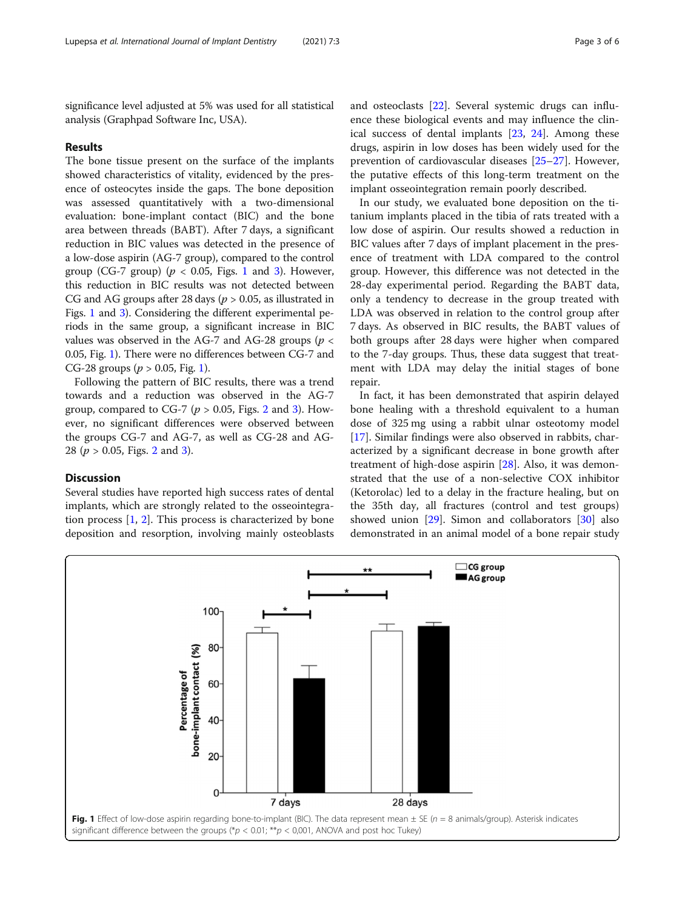significance level adjusted at 5% was used for all statistical analysis (Graphpad Software Inc, USA).

#### Results

The bone tissue present on the surface of the implants showed characteristics of vitality, evidenced by the presence of osteocytes inside the gaps. The bone deposition was assessed quantitatively with a two-dimensional evaluation: bone-implant contact (BIC) and the bone area between threads (BABT). After 7 days, a significant reduction in BIC values was detected in the presence of a low-dose aspirin (AG-7 group), compared to the control group (CG-7 group) ( $p < 0.05$ , Figs. 1 and [3](#page-3-0)). However, this reduction in BIC results was not detected between CG and AG groups after 28 days ( $p > 0.05$ , as illustrated in Figs. 1 and [3\)](#page-3-0). Considering the different experimental periods in the same group, a significant increase in BIC values was observed in the AG-7 and AG-28 groups ( $p <$ 0.05, Fig. 1). There were no differences between CG-7 and CG-28 groups ( $p > 0.05$ , Fig. 1).

Following the pattern of BIC results, there was a trend towards and a reduction was observed in the AG-7 group, compared to CG-7 ( $p > 0.05$ , Figs. [2](#page-3-0) and [3](#page-3-0)). However, no significant differences were observed between the groups CG-7 and AG-7, as well as CG-28 and AG-[2](#page-3-0)8 ( $p > 0.05$ , Figs. 2 and [3\)](#page-3-0).

## Discussion

Several studies have reported high success rates of dental implants, which are strongly related to the osseointegration process [[1,](#page-4-0) [2\]](#page-4-0). This process is characterized by bone deposition and resorption, involving mainly osteoblasts and osteoclasts [\[22](#page-5-0)]. Several systemic drugs can influence these biological events and may influence the clinical success of dental implants [\[23,](#page-5-0) [24\]](#page-5-0). Among these drugs, aspirin in low doses has been widely used for the prevention of cardiovascular diseases [\[25](#page-5-0)–[27\]](#page-5-0). However, the putative effects of this long-term treatment on the implant osseointegration remain poorly described.

In our study, we evaluated bone deposition on the titanium implants placed in the tibia of rats treated with a low dose of aspirin. Our results showed a reduction in BIC values after 7 days of implant placement in the presence of treatment with LDA compared to the control group. However, this difference was not detected in the 28-day experimental period. Regarding the BABT data, only a tendency to decrease in the group treated with LDA was observed in relation to the control group after 7 days. As observed in BIC results, the BABT values of both groups after 28 days were higher when compared to the 7-day groups. Thus, these data suggest that treatment with LDA may delay the initial stages of bone repair.

In fact, it has been demonstrated that aspirin delayed bone healing with a threshold equivalent to a human dose of 325 mg using a rabbit ulnar osteotomy model [[17\]](#page-5-0). Similar findings were also observed in rabbits, characterized by a significant decrease in bone growth after treatment of high-dose aspirin [[28\]](#page-5-0). Also, it was demonstrated that the use of a non-selective COX inhibitor (Ketorolac) led to a delay in the fracture healing, but on the 35th day, all fractures (control and test groups) showed union [\[29](#page-5-0)]. Simon and collaborators [[30\]](#page-5-0) also demonstrated in an animal model of a bone repair study

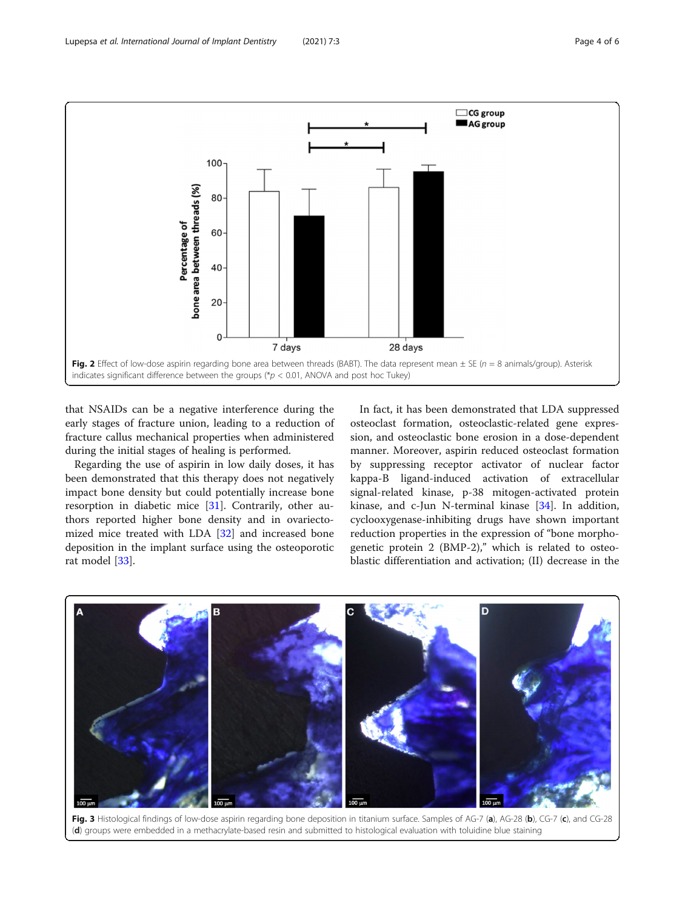<span id="page-3-0"></span>

that NSAIDs can be a negative interference during the early stages of fracture union, leading to a reduction of fracture callus mechanical properties when administered during the initial stages of healing is performed.

Regarding the use of aspirin in low daily doses, it has been demonstrated that this therapy does not negatively impact bone density but could potentially increase bone resorption in diabetic mice [[31](#page-5-0)]. Contrarily, other authors reported higher bone density and in ovariectomized mice treated with LDA [\[32](#page-5-0)] and increased bone deposition in the implant surface using the osteoporotic rat model [\[33](#page-5-0)].

In fact, it has been demonstrated that LDA suppressed osteoclast formation, osteoclastic-related gene expression, and osteoclastic bone erosion in a dose-dependent manner. Moreover, aspirin reduced osteoclast formation by suppressing receptor activator of nuclear factor kappa-B ligand-induced activation of extracellular signal-related kinase, p-38 mitogen-activated protein kinase, and c-Jun N-terminal kinase [[34\]](#page-5-0). In addition, cyclooxygenase-inhibiting drugs have shown important reduction properties in the expression of "bone morphogenetic protein 2 (BMP-2)," which is related to osteoblastic differentiation and activation; (II) decrease in the



Fig. 3 Histological findings of low-dose aspirin regarding bone deposition in titanium surface. Samples of AG-7 (a), AG-28 (b), CG-7 (c), and CG-28 (d) groups were embedded in a methacrylate-based resin and submitted to histological evaluation with toluidine blue staining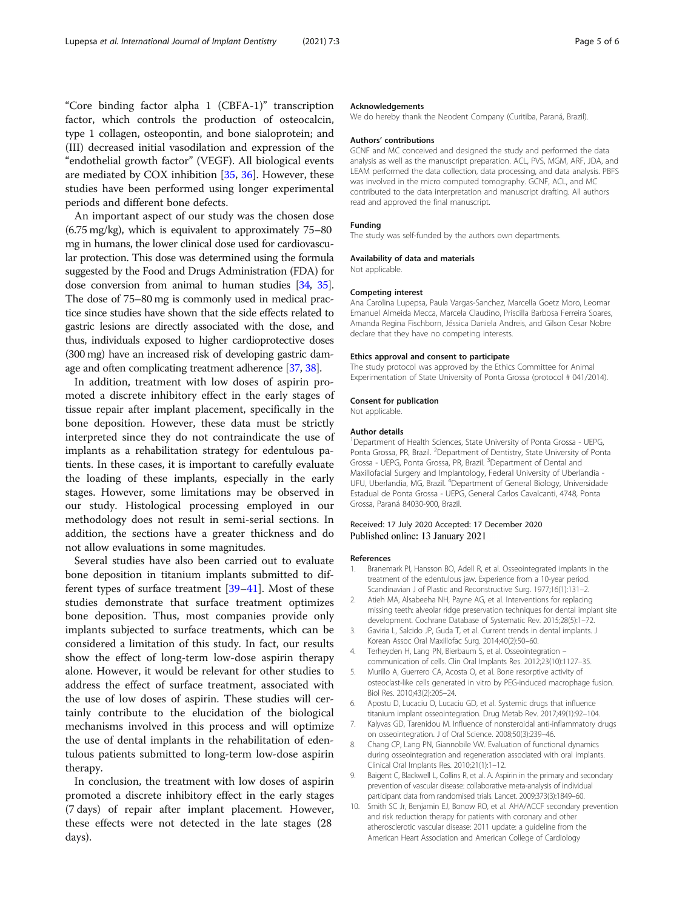<span id="page-4-0"></span>"Core binding factor alpha 1 (CBFA-1)" transcription factor, which controls the production of osteocalcin, type 1 collagen, osteopontin, and bone sialoprotein; and (III) decreased initial vasodilation and expression of the "endothelial growth factor" (VEGF). All biological events are mediated by COX inhibition [[35,](#page-5-0) [36\]](#page-5-0). However, these studies have been performed using longer experimental periods and different bone defects.

An important aspect of our study was the chosen dose (6.75 mg/kg), which is equivalent to approximately 75–80 mg in humans, the lower clinical dose used for cardiovascular protection. This dose was determined using the formula suggested by the Food and Drugs Administration (FDA) for dose conversion from animal to human studies [\[34](#page-5-0), [35](#page-5-0)]. The dose of 75–80 mg is commonly used in medical practice since studies have shown that the side effects related to gastric lesions are directly associated with the dose, and thus, individuals exposed to higher cardioprotective doses (300 mg) have an increased risk of developing gastric damage and often complicating treatment adherence [[37,](#page-5-0) [38](#page-5-0)].

In addition, treatment with low doses of aspirin promoted a discrete inhibitory effect in the early stages of tissue repair after implant placement, specifically in the bone deposition. However, these data must be strictly interpreted since they do not contraindicate the use of implants as a rehabilitation strategy for edentulous patients. In these cases, it is important to carefully evaluate the loading of these implants, especially in the early stages. However, some limitations may be observed in our study. Histological processing employed in our methodology does not result in semi-serial sections. In addition, the sections have a greater thickness and do not allow evaluations in some magnitudes.

Several studies have also been carried out to evaluate bone deposition in titanium implants submitted to different types of surface treatment [[39](#page-5-0)–[41\]](#page-5-0). Most of these studies demonstrate that surface treatment optimizes bone deposition. Thus, most companies provide only implants subjected to surface treatments, which can be considered a limitation of this study. In fact, our results show the effect of long-term low-dose aspirin therapy alone. However, it would be relevant for other studies to address the effect of surface treatment, associated with the use of low doses of aspirin. These studies will certainly contribute to the elucidation of the biological mechanisms involved in this process and will optimize the use of dental implants in the rehabilitation of edentulous patients submitted to long-term low-dose aspirin therapy.

In conclusion, the treatment with low doses of aspirin promoted a discrete inhibitory effect in the early stages (7 days) of repair after implant placement. However, these effects were not detected in the late stages (28 days).

#### Acknowledgements

We do hereby thank the Neodent Company (Curitiba, Paraná, Brazil).

#### Authors' contributions

GCNF and MC conceived and designed the study and performed the data analysis as well as the manuscript preparation. ACL, PVS, MGM, ARF, JDA, and LEAM performed the data collection, data processing, and data analysis. PBFS was involved in the micro computed tomography. GCNF, ACL, and MC contributed to the data interpretation and manuscript drafting. All authors read and approved the final manuscript.

#### Funding

The study was self-funded by the authors own departments.

#### Availability of data and materials

Not applicable.

#### Competing interest

Ana Carolina Lupepsa, Paula Vargas-Sanchez, Marcella Goetz Moro, Leomar Emanuel Almeida Mecca, Marcela Claudino, Priscilla Barbosa Ferreira Soares, Amanda Regina Fischborn, Jéssica Daniela Andreis, and Gilson Cesar Nobre declare that they have no competing interests.

#### Ethics approval and consent to participate

The study protocol was approved by the Ethics Committee for Animal Experimentation of State University of Ponta Grossa (protocol # 041/2014).

#### Consent for publication

Not applicable.

#### Author details

<sup>1</sup>Department of Health Sciences, State University of Ponta Grossa - UEPG Ponta Grossa, PR, Brazil. <sup>2</sup>Department of Dentistry, State University of Ponta Grossa - UEPG, Ponta Grossa, PR, Brazil. <sup>3</sup>Department of Dental and Maxillofacial Surgery and Implantology, Federal University of Uberlandia - UFU, Uberlandia, MG, Brazil. <sup>4</sup>Department of General Biology, Universidade Estadual de Ponta Grossa - UEPG, General Carlos Cavalcanti, 4748, Ponta Grossa, Paraná 84030-900, Brazil.

#### Received: 17 July 2020 Accepted: 17 December 2020 Published online: 13 January 2021

#### References

- Branemark PI, Hansson BO, Adell R, et al. Osseointegrated implants in the treatment of the edentulous jaw. Experience from a 10-year period. Scandinavian J of Plastic and Reconstructive Surg. 1977;16(1):131–2.
- 2. Atieh MA, Alsabeeha NH, Payne AG, et al. Interventions for replacing missing teeth: alveolar ridge preservation techniques for dental implant site development. Cochrane Database of Systematic Rev. 2015;28(5):1–72.
- 3. Gaviria L, Salcido JP, Guda T, et al. Current trends in dental implants. J Korean Assoc Oral Maxillofac Surg. 2014;40(2):50–60.
- 4. Terheyden H, Lang PN, Bierbaum S, et al. Osseointegration communication of cells. Clin Oral Implants Res. 2012;23(10):1127–35.
- 5. Murillo A, Guerrero CA, Acosta O, et al. Bone resorptive activity of osteoclast-like cells generated in vitro by PEG-induced macrophage fusion. Biol Res. 2010;43(2):205–24.
- 6. Apostu D, Lucaciu O, Lucaciu GD, et al. Systemic drugs that influence titanium implant osseointegration. Drug Metab Rev. 2017;49(1):92–104.
- 7. Kalyvas GD, Tarenidou M. Influence of nonsteroidal anti-inflammatory drugs on osseointegration. J of Oral Science. 2008;50(3):239–46.
- Chang CP, Lang PN, Giannobile VW. Evaluation of functional dynamics during osseointegration and regeneration associated with oral implants. Clinical Oral Implants Res. 2010;21(1):1–12.
- 9. Baigent C, Blackwell L, Collins R, et al. A. Aspirin in the primary and secondary prevention of vascular disease: collaborative meta-analysis of individual participant data from randomised trials. Lancet. 2009;373(3):1849–60.
- 10. Smith SC Jr, Benjamin EJ, Bonow RO, et al. AHA/ACCF secondary prevention and risk reduction therapy for patients with coronary and other atherosclerotic vascular disease: 2011 update: a guideline from the American Heart Association and American College of Cardiology